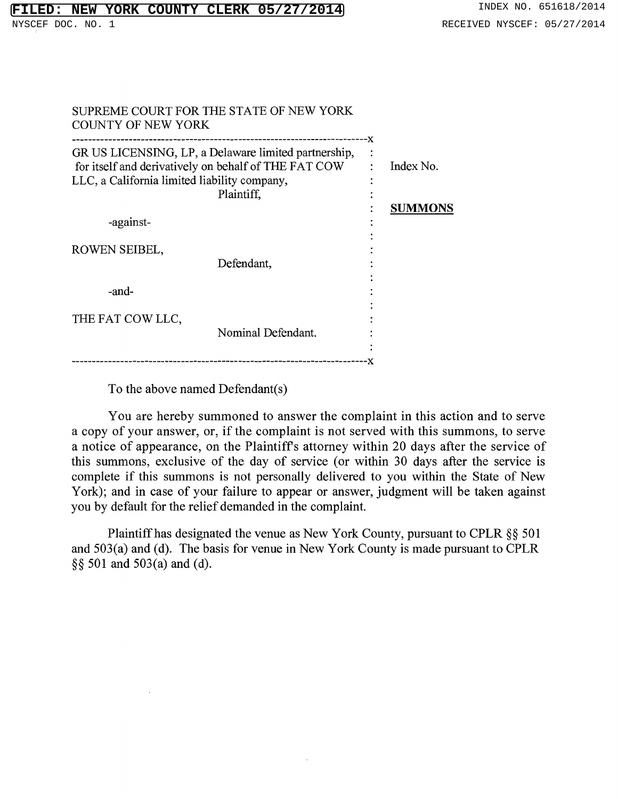| <b>COUNTY OF NEW YORK</b>                                                                                                                                                  | SUPREME COURT FOR THE STATE OF NEW YORK |    |                             |
|----------------------------------------------------------------------------------------------------------------------------------------------------------------------------|-----------------------------------------|----|-----------------------------|
| GR US LICENSING, LP, a Delaware limited partnership,<br>for itself and derivatively on behalf of THE FAT COW<br>LLC, a California limited liability company,<br>Plaintiff, |                                         | -x | Index No.<br><b>SUMMONS</b> |
| -against-                                                                                                                                                                  |                                         |    |                             |
| ROWEN SEIBEL,                                                                                                                                                              | Defendant,                              |    |                             |
| -and-                                                                                                                                                                      |                                         |    |                             |
| THE FAT COW LLC,                                                                                                                                                           | Nominal Defendant.                      |    |                             |
|                                                                                                                                                                            |                                         |    |                             |

To the above named Defendant(s)

You are hereby summoned to answer the complaint in this action and to serve a copy of your answer, or, if the complaint is not served with this summons, to serve a notice of appearance, on the Plaintiffs attorney within 20 days after the service of this summons, exclusive of the day of service (or within 30 days after the service is complete if this summons is not personally delivered to you within the State of New York); and in case of your failure to appear or answer, judgment will be taken against you by default for the relief demanded in the complaint.

Plaintiff has designated the venue as New York County, pursuant to CPLR §§ 501 and 503(a) and (d). The basis for venue in New York County is made pursuant to CPLR §§ 501 and 503(a) and (d).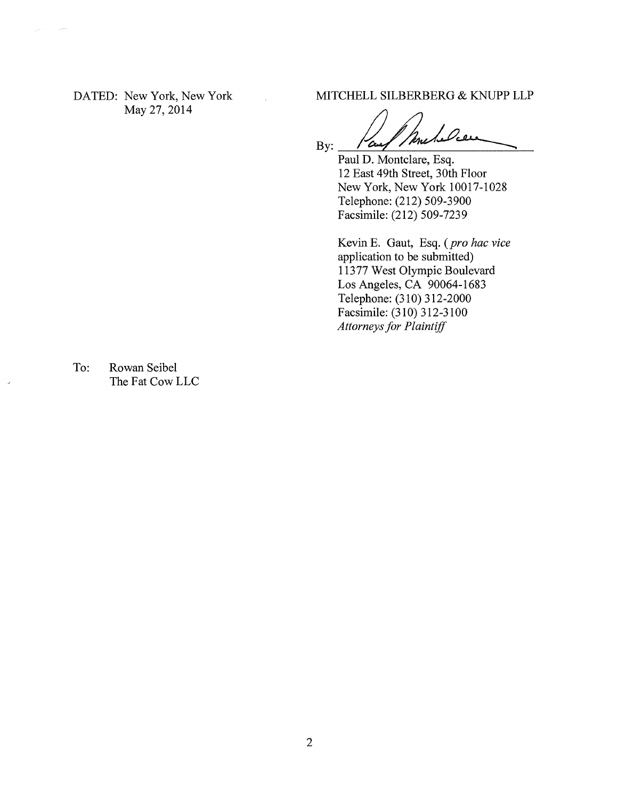May 27, 2014

DATED: New York, New York MITCHELL SILBERBERG & KNUPP LLP

ancheles By: 'Curs

Paul D. Montclare, Esq. 12 East 49th Street, 30th Floor New York, New York 10017-1028 Telephone: (212) 509-3900 Facsimile: (212) 509-7239

Kevin E. Gaut, Esq. *(pro hac vice*  application to be submitted) 11377 West Olympic Boulevard Los Angeles, CA 90064-1683 Telephone: (310) 312-2000 Facsimile: (310) 312-3100 *Attorneys for Plaintiff* 

To: Rowan Seibel The Fat Cow LLC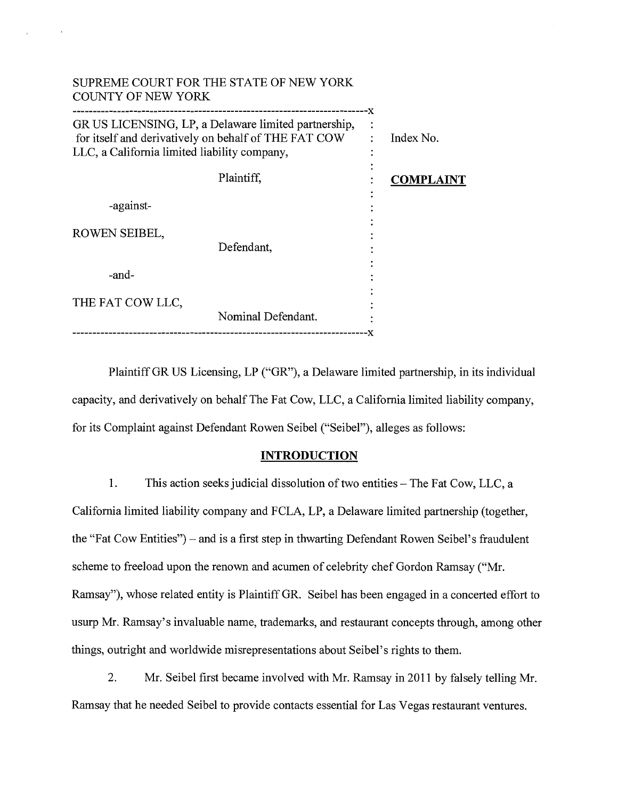| <b>COUNTY OF NEW YORK</b>                    | SUPREME COURT FOR THE STATE OF NEW YORK                                                                      |                  |
|----------------------------------------------|--------------------------------------------------------------------------------------------------------------|------------------|
| LLC, a California limited liability company, | GR US LICENSING, LP, a Delaware limited partnership,<br>for itself and derivatively on behalf of THE FAT COW | --x<br>Index No. |
|                                              | Plaintiff,                                                                                                   | <b>COMPLAINT</b> |
| -against-                                    |                                                                                                              |                  |
| ROWEN SEIBEL,                                | Defendant,                                                                                                   |                  |
| -and-                                        |                                                                                                              |                  |
| THE FAT COW LLC,                             | Nominal Defendant.                                                                                           |                  |
|                                              |                                                                                                              |                  |

Plaintiff GR US Licensing, LP ("GR"), a Delaware limited partnership, in its individual capacity, and derivatively on behalf The Fat Cow, LLC, a California limited liability company, for its Complaint against Defendant Rowen Seibel ("Seibel"), alleges as follows:

### **INTRODUCTION**

1. This action seeks judicial dissolution of two entities — The Fat Cow, LLC, a California limited liability company and FCLA, LP, a Delaware limited partnership (together, the "Fat Cow Entities") — and is a first step in thwarting Defendant Rowen Seibel's fraudulent scheme to freeload upon the renown and acumen of celebrity chef Gordon Ramsay ("Mr. Ramsay"), whose related entity is Plaintiff GR. Seibel has been engaged in a concerted effort to usurp Mr. Ramsay's invaluable name, trademarks, and restaurant concepts through, among other things, outright and worldwide misrepresentations about Seibel's rights to them.

2. Mr. Seibel first became involved with Mr. Ramsay in 2011 by falsely telling Mr. Ramsay that he needed Seibel to provide contacts essential for Las Vegas restaurant ventures.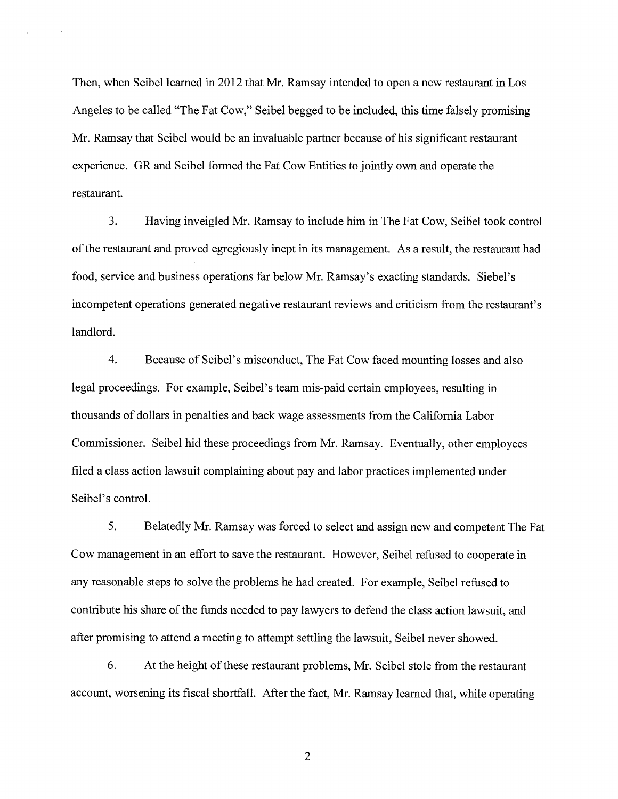Then, when Seibel learned in 2012 that Mr. Ramsay intended to open a new restaurant in Los Angeles to be called "The Fat Cow," Seibel begged to be included, this time falsely promising Mr. Ramsay that Seibel would be an invaluable partner because of his significant restaurant experience. GR and Seibel formed the Fat Cow Entities to jointly own and operate the restaurant.

3. Having inveigled Mr. Ramsay to include him in The Fat Cow, Seibel took control of the restaurant and proved egregiously inept in its management. As a result, the restaurant had food, service and business operations far below Mr. Ramsay's exacting standards. Siebel's incompetent operations generated negative restaurant reviews and criticism from the restaurant's landlord.

4. Because of Seibel's misconduct, The Fat Cow faced mounting losses and also legal proceedings. For example, Seibel's team mis-paid certain employees, resulting in thousands of dollars in penalties and back wage assessments from the California Labor Commissioner. Seibel hid these proceedings from Mr. Ramsay. Eventually, other employees filed a class action lawsuit complaining about pay and labor practices implemented under Seibel's control.

5. Belatedly Mr. Ramsay was forced to select and assign new and competent The Fat Cow management in an effort to save the restaurant. However, Seibel refused to cooperate in any reasonable steps to solve the problems he had created. For example, Seibel refused to contribute his share of the funds needed to pay lawyers to defend the class action lawsuit, and after promising to attend a meeting to attempt settling the lawsuit, Seibel never showed.

6. At the height of these restaurant problems, Mr. Seibel stole from the restaurant account, worsening its fiscal shortfall. After the fact, Mr. Ramsay learned that, while operating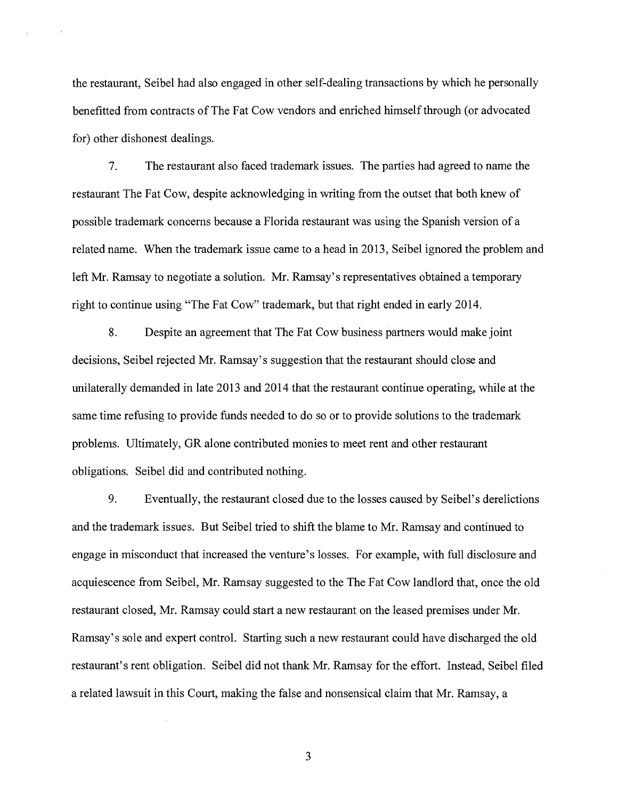the restaurant, Seibel had also engaged in other self-dealing transactions by which he personally benefitted from contracts of The Fat Cow vendors and enriched himself through (or advocated for) other dishonest dealings.

7. The restaurant also faced trademark issues. The parties had agreed to name the restaurant The Fat Cow, despite acknowledging in writing from the outset that both knew of possible trademark concerns because a Florida restaurant was using the Spanish version of a related name. When the trademark issue came to a head in 2013, Seibel ignored the problem and left Mr. Ramsay to negotiate a solution. Mr. Ramsay's representatives obtained a temporary right to continue using "The Fat Cow" trademark, but that right ended in early 2014.

8. Despite an agreement that The Fat Cow business partners would make joint decisions, Seibel rejected Mr. Ramsay's suggestion that the restaurant should close and unilaterally demanded in late 2013 and 2014 that the restaurant continue operating, while at the same time refusing to provide funds needed to do so or to provide solutions to the trademark problems. Ultimately, GR alone contributed monies to meet rent and other restaurant obligations. Seibel did and contributed nothing.

9. Eventually, the restaurant closed due to the losses caused by Seibel's derelictions and the trademark issues. But Seibel tried to shift the blame to Mr. Ramsay and continued to engage in misconduct that increased the venture's losses. For example, with full disclosure and acquiescence from Seibel, Mr. Ramsay suggested to the The Fat Cow landlord that, once the old restaurant closed, Mr. Ramsay could start a new restaurant on the leased premises under Mr. Ramsay's sole and expert control. Starting such a new restaurant could have discharged the old restaurant's rent obligation. Seibel did not thank Mr. Ramsay for the effort. Instead, Seibel filed a related lawsuit in this Court, making the false and nonsensical claim that Mr. Ramsay, a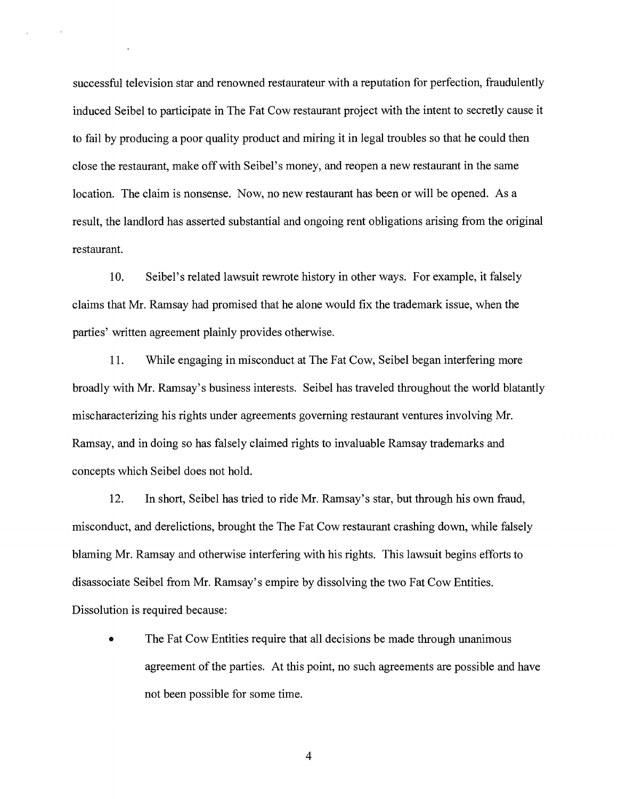successful television star and renowned restaurateur with a reputation for perfection, fraudulently induced Seibel to participate in The Fat Cow restaurant project with the intent to secretly cause it to fail by producing a poor quality product and miring it in legal troubles so that he could then close the restaurant, make off with Seibel's money, and reopen a new restaurant in the same location. The claim is nonsense. Now, no new restaurant has been or will be opened. As a result, the landlord has asserted substantial and ongoing rent obligations arising from the original restaurant.

10. Seibel's related lawsuit rewrote history in other ways. For example, it falsely claims that Mr. Ramsay had promised that he alone would fix the trademark issue, when the parties' written agreement plainly provides otherwise.

11. While engaging in misconduct at The Fat Cow, Seibel began interfering more broadly with Mr. Ramsay's business interests. Seibel has traveled throughout the world blatantly mischaracterizing his rights under agreements governing restaurant ventures involving Mr. Ramsay, and in doing so has falsely claimed rights to invaluable Ramsay trademarks and concepts which Seibel does not hold.

12. In short, Seibel has tried to ride Mr. Ramsay's star, but through his own fraud, misconduct, and derelictions, brought the The Fat Cow restaurant crashing down, while falsely blaming Mr. Ramsay and otherwise interfering with his rights. This lawsuit begins efforts to disassociate Seibel from Mr. Ramsay's empire by dissolving the two Fat Cow Entities. Dissolution is required because:

• The Fat Cow Entities require that all decisions be made through unanimous agreement of the parties. At this point, no such agreements are possible and have not been possible for some time.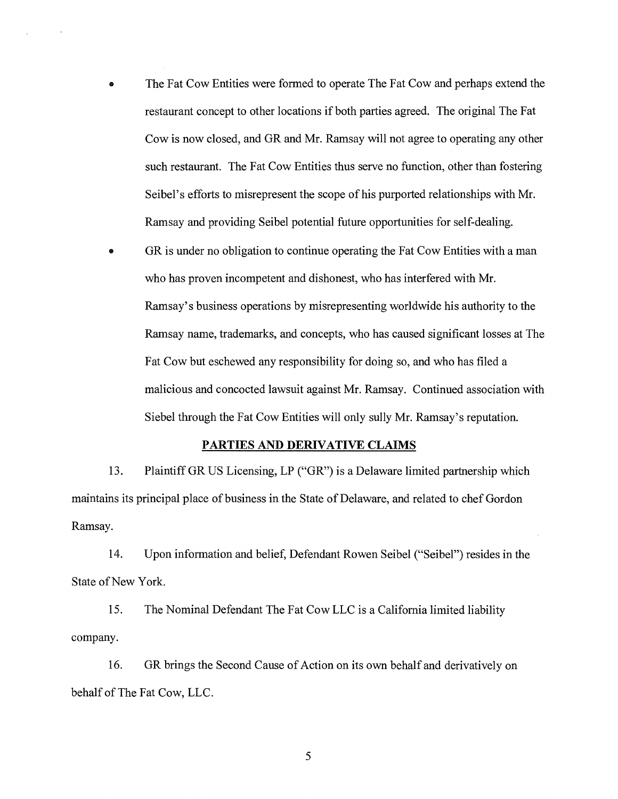- The Fat Cow Entities were formed to operate The Fat Cow and perhaps extend the restaurant concept to other locations if both parties agreed. The original The Fat Cow is now closed, and GR and Mr. Ramsay will not agree to operating any other such restaurant. The Fat Cow Entities thus serve no function, other than fostering Seibel's efforts to misrepresent the scope of his purported relationships with Mr. Ramsay and providing Seibel potential future opportunities for self-dealing.
- **9** GR is under no obligation to continue operating the Fat Cow Entities with a man who has proven incompetent and dishonest, who has interfered with Mr. Ramsay's business operations by misrepresenting worldwide his authority to the Ramsay name, trademarks, and concepts, who has caused significant losses at The Fat Cow but eschewed any responsibility for doing so, and who has filed a malicious and concocted lawsuit against Mr. Ramsay. Continued association with Siebel through the Fat Cow Entities will only sully Mr. Ramsay's reputation.

## PARTIES AND DERIVATIVE CLAIMS

13. Plaintiff GR US Licensing, LP ("GR") is a Delaware limited partnership which maintains its principal place of business in the State of Delaware, and related to chef Gordon Ramsay.

14. Upon information and belief, Defendant Rowen Seibel ("Seibel") resides in the State of New York.

15. The Nominal Defendant The Fat Cow LLC is a California limited liability company.

16. GR brings the Second Cause of Action on its own behalf and derivatively on behalf of The Fat Cow, LLC.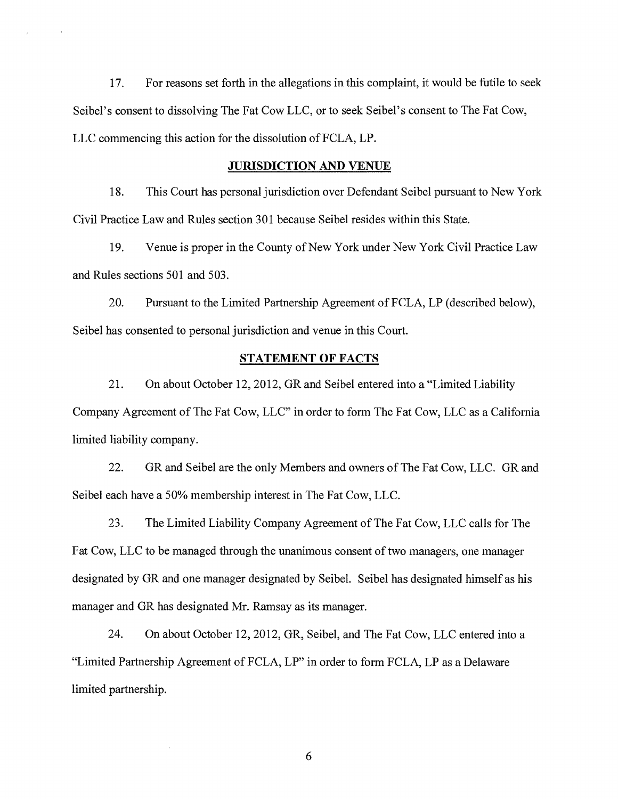17. For reasons set forth in the allegations in this complaint, it would be futile to seek Seibel's consent to dissolving The Fat Cow LLC, or to seek Seibel's consent to The Fat Cow, LLC commencing this action for the dissolution of FCLA, LP.

### JURISDICTION AND VENUE

18. This Court has personal jurisdiction over Defendant Seibel pursuant to New York Civil Practice Law and Rules section 301 because Seibel resides within this State.

19. Venue is proper in the County of New York under New York Civil Practice Law and Rules sections 501 and 503.

20. Pursuant to the Limited Partnership Agreement of FCLA, LP (described below), Seibel has consented to personal jurisdiction and venue in this Court.

## STATEMENT OF FACTS

21. On about October 12, 2012, GR and Seibel entered into a "Limited Liability Company Agreement of The Fat Cow, LLC" in order to form The Fat Cow, LLC as a California limited liability company.

22. GR and Seibel are the only Members and owners of The Fat Cow, LLC. GR and Seibel each have a 50% membership interest in The Fat Cow, LLC.

23. The Limited Liability Company Agreement of The Fat Cow, LLC calls for The Fat Cow, LLC to be managed through the unanimous consent of two managers, one manager designated by GR and one manager designated by Seibel. Seibel has designated himself as his manager and GR has designated Mr. Ramsay as its manager.

24. On about October 12, 2012, GR, Seibel, and The Fat Cow, LLC entered into a "Limited Partnership Agreement of FCLA, LP" in order to form FCLA, LP as a Delaware limited partnership.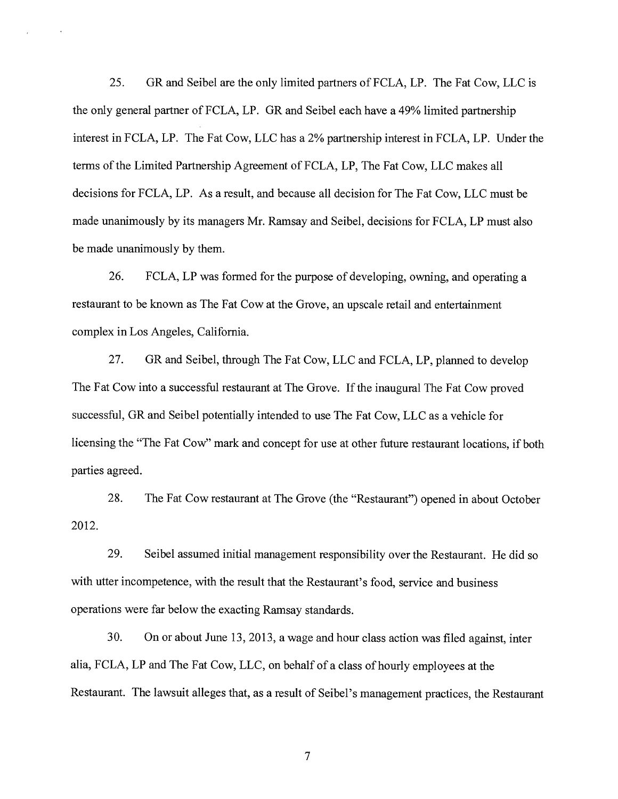25. GR and Seibel are the only limited partners of FCLA, LP. The Fat Cow, LLC is the only general partner of FCLA, LP. GR and Seibel each have a 49% limited partnership interest in FCLA, LP. The Fat Cow, LLC has a 2% partnership interest in FCLA, LP. Under the terms of the Limited Partnership Agreement of FCLA, LP, The Fat Cow, LLC makes all decisions for FCLA, LP. As a result, and because all decision for The Fat Cow, LLC must be made unanimously by its managers Mr. Ramsay and Seibel, decisions for FCLA, LP must also be made unanimously by them.

26. FCLA, LP was formed for the purpose of developing, owning, and operating a restaurant to be known as The Fat Cow at the Grove, an upscale retail and entertainment complex in Los Angeles, California.

27. GR and Seibel, through The Fat Cow, LLC and FCLA, LP, planned to develop The Fat Cow into a successful restaurant at The Grove. If the inaugural The Fat Cow proved successful, GR and Seibel potentially intended to use The Fat Cow, LLC as a vehicle for licensing the "The Fat Cow" mark and concept for use at other future restaurant locations, if both parties agreed.

28. The Fat Cow restaurant at The Grove (the "Restaurant") opened in about October 2012.

29. Seibel assumed initial management responsibility over the Restaurant. He did so with utter incompetence, with the result that the Restaurant's food, service and business operations were far below the exacting Ramsay standards.

30. On or about June 13, 2013, a wage and hour class action was filed against, inter alia, FCLA, LP and The Fat Cow, LLC, on behalf of a class of hourly employees at the Restaurant. The lawsuit alleges that, as a result of Seibel's management practices, the Restaurant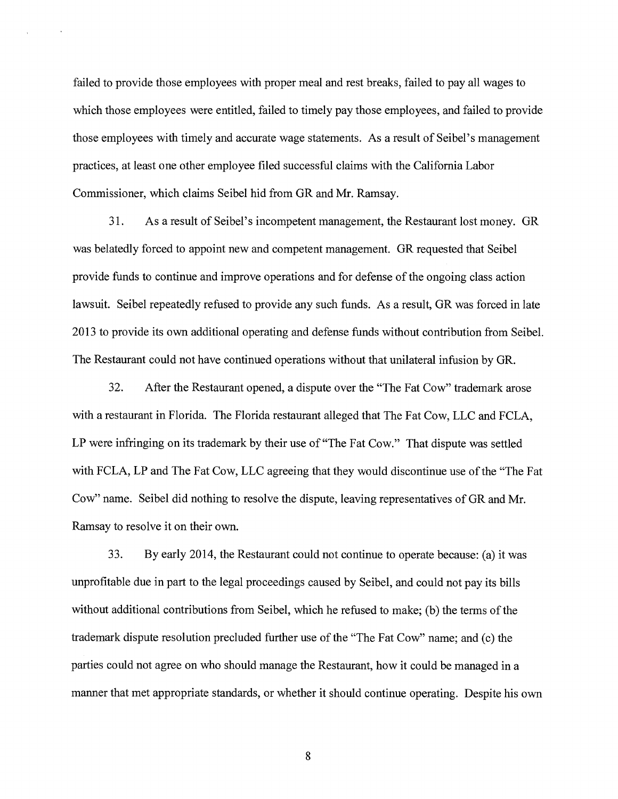failed to provide those employees with proper meal and rest breaks, failed to pay all wages to which those employees were entitled, failed to timely pay those employees, and failed to provide those employees with timely and accurate wage statements. As a result of Seibel's management practices, at least one other employee filed successful claims with the California Labor Commissioner, which claims Seibel hid from GR and Mr. Ramsay.

31. As a result of Seibel's incompetent management, the Restaurant lost money. GR was belatedly forced to appoint new and competent management. GR requested that Seibel provide funds to continue and improve operations and for defense of the ongoing class action lawsuit. Seibel repeatedly refused to provide any such funds. As a result, GR was forced in late 2013 to provide its own additional operating and defense funds without contribution from Seibel. The Restaurant could not have continued operations without that unilateral infusion by GR.

32. After the Restaurant opened, a dispute over the "The Fat Cow" trademark arose with a restaurant in Florida. The Florida restaurant alleged that The Fat Cow, LLC and FCLA, LP were infringing on its trademark by their use of "The Fat Cow." That dispute was settled with FCLA, LP and The Fat Cow, LLC agreeing that they would discontinue use of the "The Fat Cow" name. Seibel did nothing to resolve the dispute, leaving representatives of GR and Mr. Ramsay to resolve it on their own.

33. By early 2014, the Restaurant could not continue to operate because: (a) it was unprofitable due in part to the legal proceedings caused by Seibel, and could not pay its bills without additional contributions from Seibel, which he refused to make; (b) the terms of the trademark dispute resolution precluded further use of the "The Fat Cow" name; and (c) the parties could not agree on who should manage the Restaurant, how it could be managed in a manner that met appropriate standards, or whether it should continue operating. Despite his own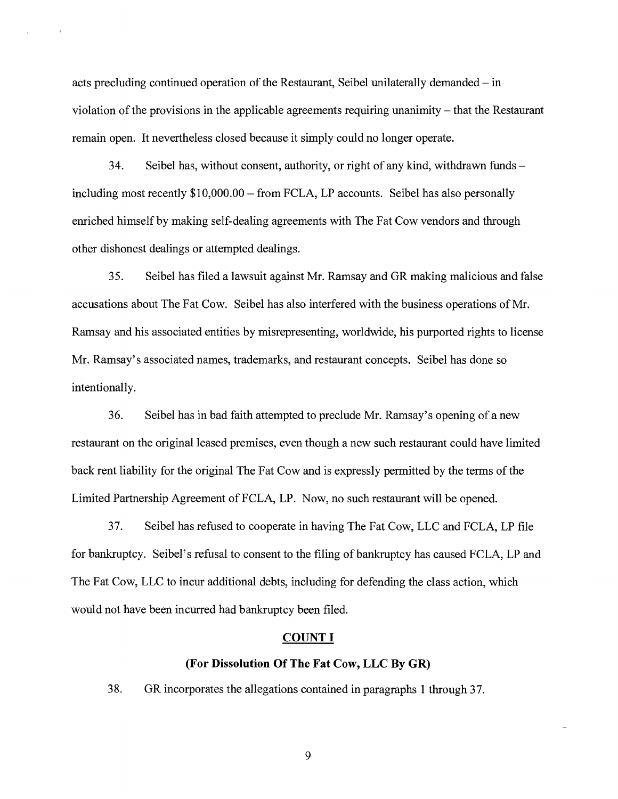acts precluding continued operation of the Restaurant, Seibel unilaterally demanded — in violation of the provisions in the applicable agreements requiring unanimity — that the Restaurant remain open. It nevertheless closed because it simply could no longer operate.

34. Seibel has, without consent, authority, or right of any kind, withdrawn funds including most recently \$10,000.00 — from FCLA, LP accounts. Seibel has also personally enriched himself by making self-dealing agreements with The Fat Cow vendors and through other dishonest dealings or attempted dealings.

35. Seibel has filed a lawsuit against Mr. Ramsay and GR making malicious and false accusations about The Fat Cow. Seibel has also interfered with the business operations of Mr. Ramsay and his associated entities by misrepresenting, worldwide, his purported rights to license Mr. Ramsay's associated names, trademarks, and restaurant concepts. Seibel has done so intentionally.

36. Seibel has in bad faith attempted to preclude Mr. Ramsay's opening of a new restaurant on the original leased premises, even though a new such restaurant could have limited back rent liability for the original The Fat Cow and is expressly permitted by the terms of the Limited Partnership Agreement of FCLA, LP. Now, no such restaurant will be opened.

37. Seibel has refused to cooperate in having The Fat Cow, LLC and FCLA, LP file for bankruptcy. Seibel's refusal to consent to the filing of bankruptcy has caused FCLA, LP and The Fat Cow, LLC to incur additional debts, including for defending the class action, which would not have been incurred had bankruptcy been filed.

#### COUNT I

## (For Dissolution Of The Fat Cow, LLC By GR)

38. GR incorporates the allegations contained in paragraphs 1 through 37.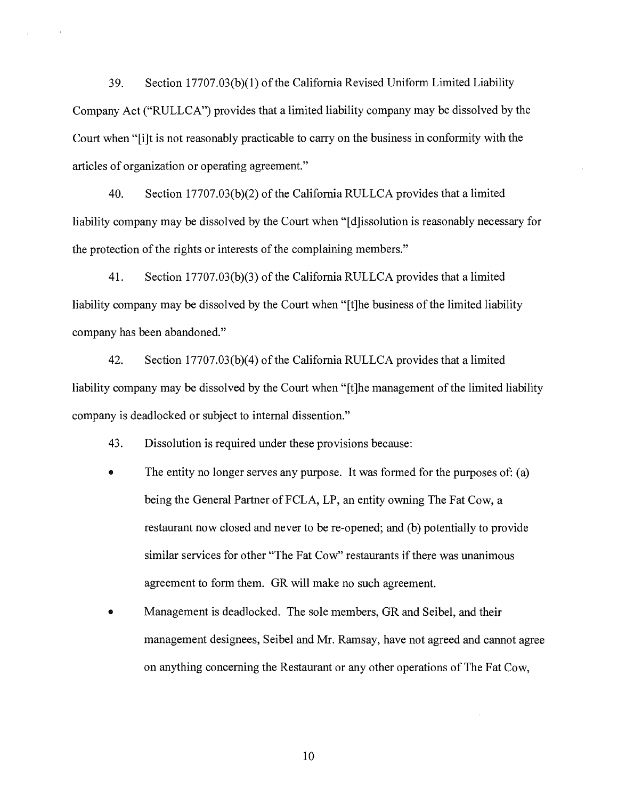39. Section 17707.03(b)(1) of the California Revised Uniform Limited Liability Company Act ("RULLCA") provides that a limited liability company may be dissolved by the Court when "[i]t is not reasonably practicable to carry on the business in conformity with the articles of organization or operating agreement."

40. Section 17707.03(b)(2) of the California RULLCA provides that a limited liability company may be dissolved by the Court when "[d]issolution is reasonably necessary for the protection of the rights or interests of the complaining members."

41. Section 17707.03(b)(3) of the California RULLCA provides that a limited liability company may be dissolved by the Court when "[t]he business of the limited liability company has been abandoned."

42. Section 17707.03(b)(4) of the California RULLCA provides that a limited liability company may be dissolved by the Court when "[t]he management of the limited liability company is deadlocked or subject to internal dissention."

43. Dissolution is required under these provisions because:

- The entity no longer serves any purpose. It was formed for the purposes of: (a) being the General Partner of FCLA, LP, an entity owning The Fat Cow, a restaurant now closed and never to be re-opened; and (b) potentially to provide similar services for other "The Fat Cow" restaurants if there was unanimous agreement to form them. GR will make no such agreement.
- Management is deadlocked. The sole members, GR and Seibel, and their management designees, Seibel and Mr. Ramsay, have not agreed and cannot agree on anything concerning the Restaurant or any other operations of The Fat Cow,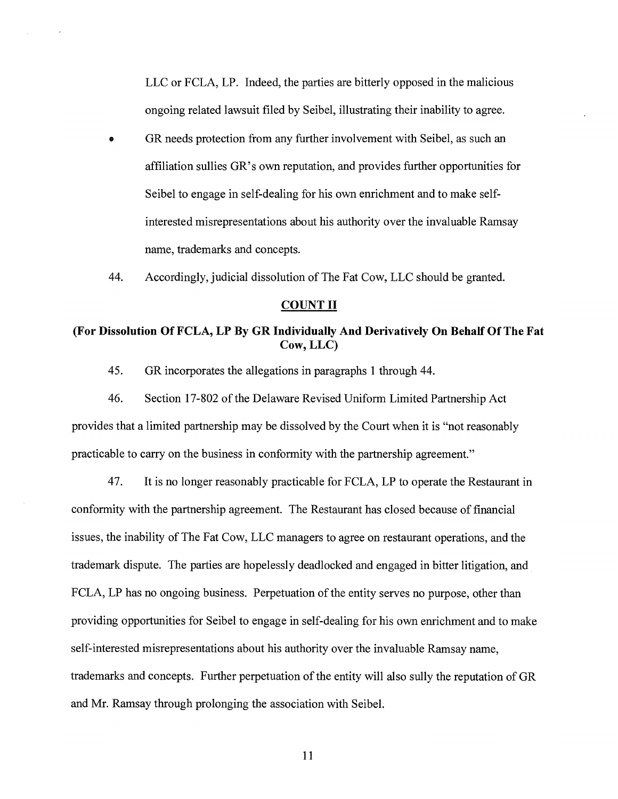LLC or FCLA, LP. Indeed, the parties are bitterly opposed in the malicious ongoing related lawsuit filed by Seibel, illustrating their inability to agree.

- GR needs protection from any further involvement with Seibel, as such an affiliation sullies GR's own reputation, and provides further opportunities for Seibel to engage in self-dealing for his own enrichment and to make selfinterested misrepresentations about his authority over the invaluable Ramsay name, trademarks and concepts.
- 44. Accordingly, judicial dissolution of The Fat Cow, LLC should be granted.

# **COUNT II**

# **(For Dissolution Of FCLA, LP By GR Individually And Derivatively On Behalf Of The Fat Cow, LLC)**

45. GR incorporates the allegations in paragraphs 1 through 44.

46. Section 17-802 of the Delaware Revised Uniform Limited Partnership Act provides that a limited partnership may be dissolved by the Court when it is "not reasonably practicable to carry on the business in conformity with the partnership agreement."

47. It is no longer reasonably practicable for FCLA, LP to operate the Restaurant in conformity with the partnership agreement. The Restaurant has closed because of financial issues, the inability of The Fat Cow, LLC managers to agree on restaurant operations, and the trademark dispute. The parties are hopelessly deadlocked and engaged in bitter litigation, and FCLA, LP has no ongoing business. Perpetuation of the entity serves no purpose, other than providing opportunities for Seibel to engage in self-dealing for his own enrichment and to make self-interested misrepresentations about his authority over the invaluable Ramsay name, trademarks and concepts. Further perpetuation of the entity will also sully the reputation of GR and Mr. Ramsay through prolonging the association with Seibel.